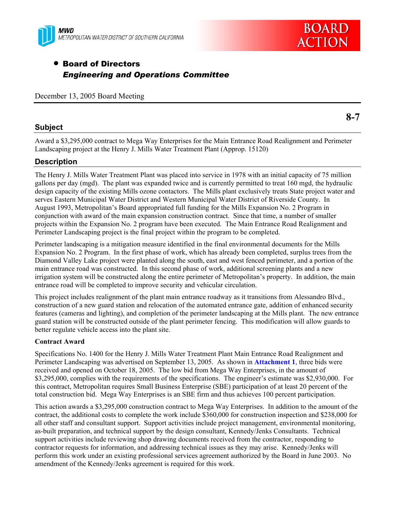



# • Board of Directors *Engineering and Operations Committee*

December 13, 2005 Board Meeting

# **Subject**

Award a \$3,295,000 contract to Mega Way Enterprises for the Main Entrance Road Realignment and Perimeter Landscaping project at the Henry J. Mills Water Treatment Plant (Approp. 15120)

# **Description**

The Henry J. Mills Water Treatment Plant was placed into service in 1978 with an initial capacity of 75 million gallons per day (mgd). The plant was expanded twice and is currently permitted to treat 160 mgd, the hydraulic design capacity of the existing Mills ozone contactors. The Mills plant exclusively treats State project water and serves Eastern Municipal Water District and Western Municipal Water District of Riverside County. In August 1993, Metropolitan's Board appropriated full funding for the Mills Expansion No. 2 Program in conjunction with award of the main expansion construction contract. Since that time, a number of smaller projects within the Expansion No. 2 program have been executed. The Main Entrance Road Realignment and Perimeter Landscaping project is the final project within the program to be completed.

Perimeter landscaping is a mitigation measure identified in the final environmental documents for the Mills Expansion No. 2 Program. In the first phase of work, which has already been completed, surplus trees from the Diamond Valley Lake project were planted along the south, east and west fenced perimeter, and a portion of the main entrance road was constructed. In this second phase of work, additional screening plants and a new irrigation system will be constructed along the entire perimeter of Metropolitan's property. In addition, the main entrance road will be completed to improve security and vehicular circulation.

This project includes realignment of the plant main entrance roadway as it transitions from Alessandro Blvd., construction of a new guard station and relocation of the automated entrance gate, addition of enhanced security features (cameras and lighting), and completion of the perimeter landscaping at the Mills plant. The new entrance guard station will be constructed outside of the plant perimeter fencing. This modification will allow guards to better regulate vehicle access into the plant site.

# **Contract Award**

Specifications No. 1400 for the Henry J. Mills Water Treatment Plant Main Entrance Road Realignment and Perimeter Landscaping was advertised on September 13, 2005. As shown in **Attachment 1**, three bids were received and opened on October 18, 2005. The low bid from Mega Way Enterprises, in the amount of \$3,295,000, complies with the requirements of the specifications. The engineer's estimate was \$2,930,000. For this contract, Metropolitan requires Small Business Enterprise (SBE) participation of at least 20 percent of the total construction bid. Mega Way Enterprises is an SBE firm and thus achieves 100 percent participation.

This action awards a \$3,295,000 construction contract to Mega Way Enterprises. In addition to the amount of the contract, the additional costs to complete the work include \$360,000 for construction inspection and \$238,000 for all other staff and consultant support. Support activities include project management, environmental monitoring, as-built preparation, and technical support by the design consultant, Kennedy/Jenks Consultants. Technical support activities include reviewing shop drawing documents received from the contractor, responding to contractor requests for information, and addressing technical issues as they may arise. Kennedy/Jenks will perform this work under an existing professional services agreement authorized by the Board in June 2003. No amendment of the Kennedy/Jenks agreement is required for this work.

**8-7**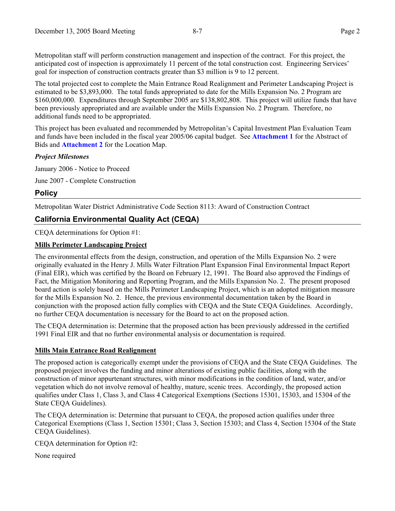Metropolitan staff will perform construction management and inspection of the contract. For this project, the anticipated cost of inspection is approximately 11 percent of the total construction cost. Engineering Services' goal for inspection of construction contracts greater than \$3 million is 9 to 12 percent.

The total projected cost to complete the Main Entrance Road Realignment and Perimeter Landscaping Project is estimated to be \$3,893,000. The total funds appropriated to date for the Mills Expansion No. 2 Program are \$160,000,000. Expenditures through September 2005 are \$138,802,808. This project will utilize funds that have been previously appropriated and are available under the Mills Expansion No. 2 Program. Therefore, no additional funds need to be appropriated.

This project has been evaluated and recommended by Metropolitan's Capital Investment Plan Evaluation Team and funds have been included in the fiscal year 2005/06 capital budget. See **Attachment 1** for the Abstract of Bids and **Attachment 2** for the Location Map.

### *Project Milestones*

January 2006 - Notice to Proceed June 2007 - Complete Construction

# **Policy**

Metropolitan Water District Administrative Code Section 8113: Award of Construction Contract

# **California Environmental Quality Act (CEQA)**

CEQA determinations for Option #1:

## **Mills Perimeter Landscaping Project**

The environmental effects from the design, construction, and operation of the Mills Expansion No. 2 were originally evaluated in the Henry J. Mills Water Filtration Plant Expansion Final Environmental Impact Report (Final EIR), which was certified by the Board on February 12, 1991. The Board also approved the Findings of Fact, the Mitigation Monitoring and Reporting Program, and the Mills Expansion No. 2. The present proposed board action is solely based on the Mills Perimeter Landscaping Project, which is an adopted mitigation measure for the Mills Expansion No. 2. Hence, the previous environmental documentation taken by the Board in conjunction with the proposed action fully complies with CEQA and the State CEQA Guidelines. Accordingly, no further CEQA documentation is necessary for the Board to act on the proposed action.

The CEQA determination is: Determine that the proposed action has been previously addressed in the certified 1991 Final EIR and that no further environmental analysis or documentation is required.

# **Mills Main Entrance Road Realignment**

The proposed action is categorically exempt under the provisions of CEQA and the State CEQA Guidelines. The proposed project involves the funding and minor alterations of existing public facilities, along with the construction of minor appurtenant structures, with minor modifications in the condition of land, water, and/or vegetation which do not involve removal of healthy, mature, scenic trees. Accordingly, the proposed action qualifies under Class 1, Class 3, and Class 4 Categorical Exemptions (Sections 15301, 15303, and 15304 of the State CEQA Guidelines).

The CEQA determination is: Determine that pursuant to CEQA, the proposed action qualifies under three Categorical Exemptions (Class 1, Section 15301; Class 3, Section 15303; and Class 4, Section 15304 of the State CEQA Guidelines).

CEQA determination for Option #2:

None required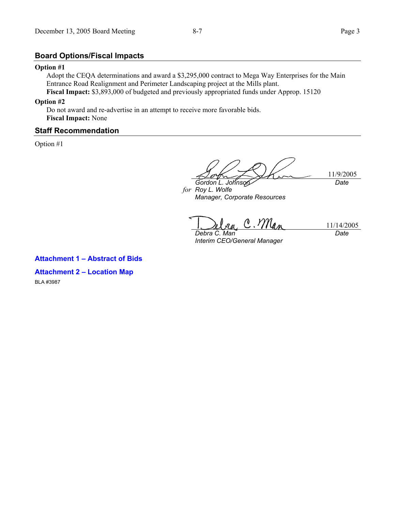## **Board Options/Fiscal Impacts**

#### **Option #1**

Adopt the CEQA determinations and award a \$3,295,000 contract to Mega Way Enterprises for the Main Entrance Road Realignment and Perimeter Landscaping project at the Mills plant. **Fiscal Impact:** \$3,893,000 of budgeted and previously appropriated funds under Approp. 15120

#### **Option #2**

Do not award and re-advertise in an attempt to receive more favorable bids. **Fiscal Impact:** None

### **Staff Recommendation**

Option #1

11/9/2005

*for Roy L. Wolfe Gordon L. Johnson Manager, Corporate Resources* 

ra, C. Man 11/14/2005 *Debra C. Man* 

*Interim CEO/General Manager* 

*Date* 

*Date* 

**Attachment 1 – Abstract of Bids** 

**Attachment 2 – Location Map**  BLA #3987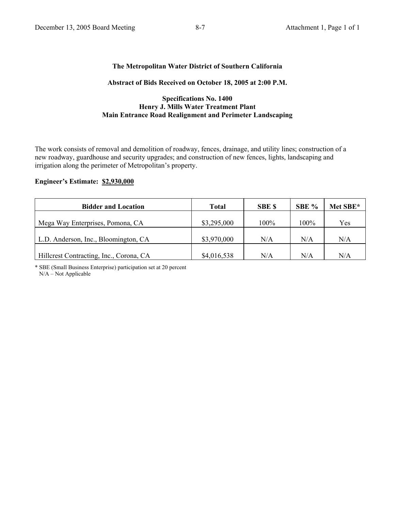## **The Metropolitan Water District of Southern California**

### **Abstract of Bids Received on October 18, 2005 at 2:00 P.M.**

#### **Specifications No. 1400 Henry J. Mills Water Treatment Plant Main Entrance Road Realignment and Perimeter Landscaping**

The work consists of removal and demolition of roadway, fences, drainage, and utility lines; construction of a new roadway, guardhouse and security upgrades; and construction of new fences, lights, landscaping and irrigation along the perimeter of Metropolitan's property.

### **Engineer's Estimate: \$2,930,000**

| <b>Bidder and Location</b>              | Total       | <b>SBE \$</b> | SBE % | Met SBE* |
|-----------------------------------------|-------------|---------------|-------|----------|
|                                         |             |               |       |          |
| Mega Way Enterprises, Pomona, CA        | \$3,295,000 | 100%          | 100%  | Yes      |
|                                         |             |               |       |          |
| L.D. Anderson, Inc., Bloomington, CA    | \$3,970,000 | N/A           | N/A   | N/A      |
|                                         |             |               |       |          |
| Hillcrest Contracting, Inc., Corona, CA | \$4,016,538 | N/A           | N/A   | N/A      |

\* SBE (Small Business Enterprise) participation set at 20 percent N/A – Not Applicable